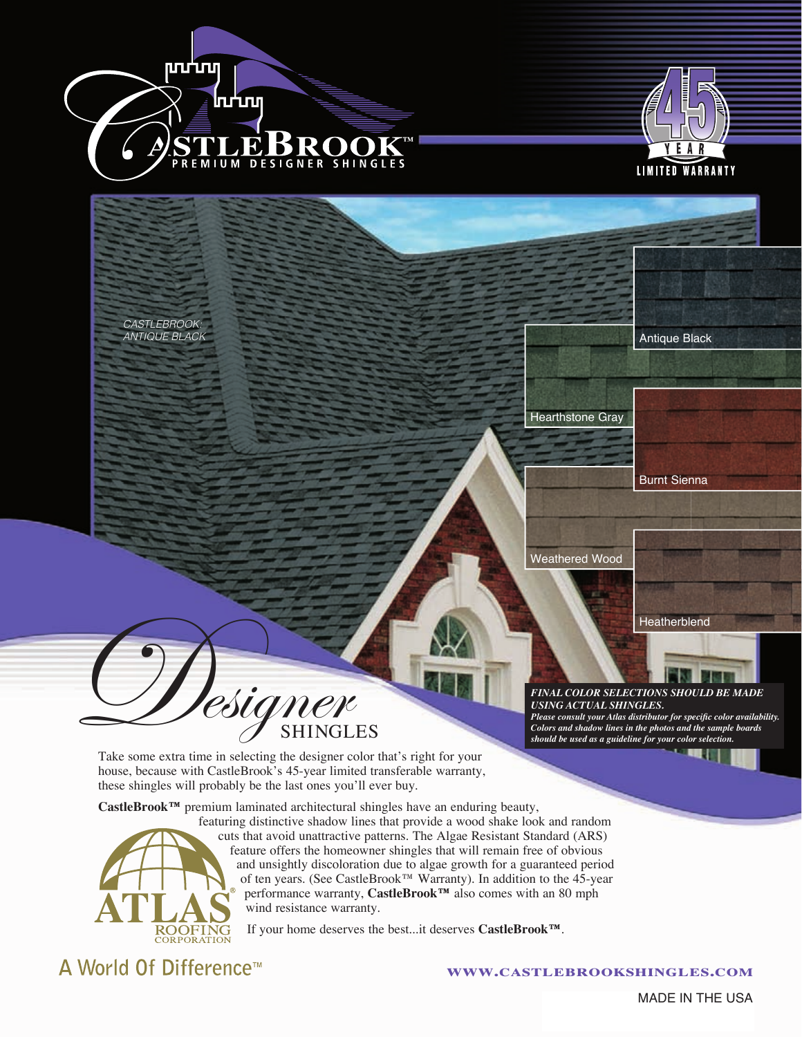



*CASTLEBROOK: ANTIQUE BLACK*



Hearthstone Gray

Burnt Sienna

Weathered Wood

**Heatherblend** 

#### *FINAL COLOR SELECTIONS SHOULD BE MADE USING ACTUAL SHINGLES. Please consult your Atlas distributor for specific color availability.*

*Colors and shadow lines in the photos and the sample boards should be used as a guideline for your color selection.* 

Take some extra time in selecting the designer color that's right for your house, because with CastleBrook's 45-year limited transferable warranty, these shingles will probably be the last ones you'll ever buy.

esigner

**CastleBrook™** premium laminated architectural shingles have an enduring beauty,



featuring distinctive shadow lines that provide a wood shake look and random cuts that avoid unattractive patterns. The Algae Resistant Standard (ARS) feature offers the homeowner shingles that will remain free of obvious and unsightly discoloration due to algae growth for a guaranteed period of ten years. (See CastleBrook™ Warranty). In addition to the 45-year performance warranty, **CastleBrook™** also comes with an 80 mph wind resistance warranty.

If your home deserves the best...it deserves **CastleBrook™**.

A World Of Difference<sup>™</sup>

#### **www.castlebrookshingles.com**

MADE IN THE USA